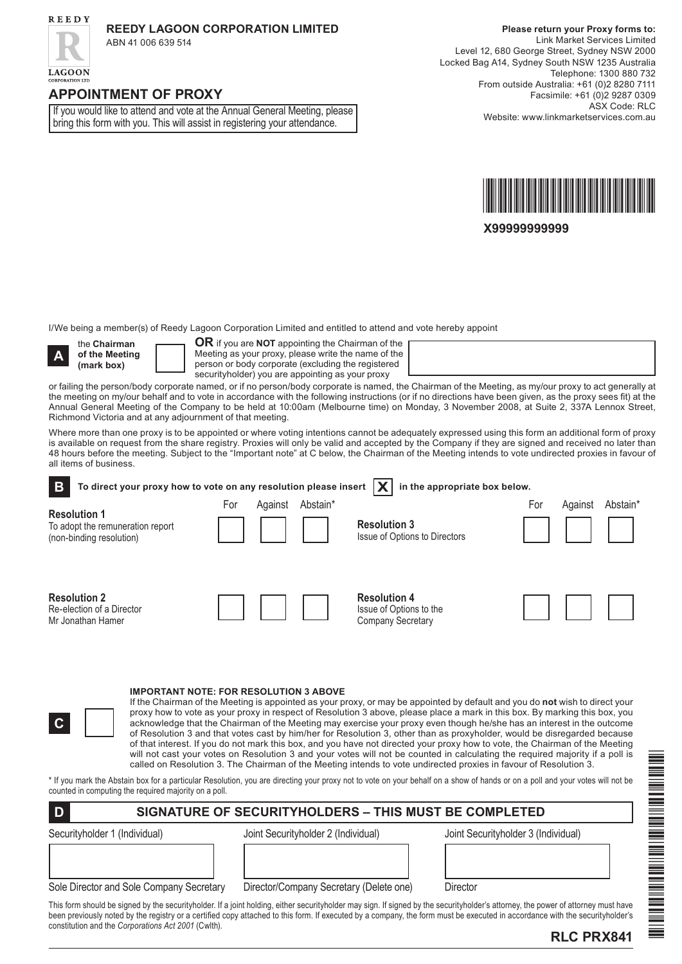

**LAGOON** 

### **Reedy Lagoon Corporation LIMITED**

ABN 41 006 639 514

## **APPOINTMENT OF PROXY**

If you would like to attend and vote at the Annual General Meeting, please bring this form with you. This will assist in registering your attendance.

**Please return your Proxy forms to:** Link Market Services Limited Level 12, 680 George Street, Sydney NSW 2000 Locked Bag A14, Sydney South NSW 1235 Australia Telephone: 1300 880 732 From outside Australia: +61 (0)2 8280 7111 Facsimile: +61 (0)2 9287 0309 ASX Code: RLC Website: www.linkmarketservices.com.au



**X99999999999**

I/We being a member(s) of Reedy Lagoon Corporation Limited and entitled to attend and vote hereby appoint



the **Chairman of the Meeting (mark box)**

**OR** if you are **NOT** appointing the Chairman of the Meeting as your proxy, please write the name of the person or body corporate (excluding the registered securityholder) you are appointing as your proxy

or failing the person/body corporate named, or if no person/body corporate is named, the Chairman of the Meeting, as my/our proxy to act generally at the meeting on my/our behalf and to vote in accordance with the following instructions (or if no directions have been given, as the proxy sees fit) at the Annual General Meeting of the Company to be held at 10:00am (Melbourne time) on Monday, 3 November 2008, at Suite 2, 337A Lennox Street, Richmond Victoria and at any adjournment of that meeting.

Where more than one proxy is to be appointed or where voting intentions cannot be adequately expressed using this form an additional form of proxy is available on request from the share registry. Proxies will only be valid and accepted by the Company if they are signed and received no later than 48 hours before the meeting. Subject to the "Important note" at C below, the Chairman of the Meeting intends to vote undirected proxies in favour of all items of business.

To direct your proxy how to vote on any resolution please insert  $\boxed{\textbf{X}}$  in the appropriate box below. **B Resolution 1** To adopt the remuneration report (non-binding resolution) **Resolution 3** Issue of Options to Directors **Resolution 2** Re-election of a Director Mr Jonathan Hamer **Resolution 4** Issue of Options to the Company Secretary For Against Abstain\* For Against Abstain\*

**IMPORTANT NOTE: FOR RESOLUTION 3 ABOVE**

If the Chairman of the Meeting is appointed as your proxy, or may be appointed by default and you do **not** wish to direct your proxy how to vote as your proxy in respect of Resolution 3 above, please place a mark in this box. By marking this box, you acknowledge that the Chairman of the Meeting may exercise your proxy even though he/she has an interest in the outcome of Resolution 3 and that votes cast by him/her for Resolution 3, other than as proxyholder, would be disregarded because of that interest. If you do not mark this box, and you have not directed your proxy how to vote, the Chairman of the Meeting will not cast your votes on Resolution 3 and your votes will not be counted in calculating the required majority if a poll is called on Resolution 3. The Chairman of the Meeting intends to vote undirected proxies in favour of Resolution 3.

\* If you mark the Abstain box for a particular Resolution, you are directing your proxy not to vote on your behalf on a show of hands or on a poll and your votes will not be counted in computing the required majority on a poll.

## **D SIGNATURE OF SECURITYHOLDERS – THIS MUST BE COMPLETED**

**C**

Securityholder 1 (Individual) Joint Securityholder 2 (Individual) Joint Securityholder 3 (Individual)

| Sole Director and Sole Company Secretar |  |
|-----------------------------------------|--|

ry Director/Company Secretary (Delete one) Director

This form should be signed by the securityholder. If a joint holding, either securityholder may sign. If signed by the securityholder's attorney, the power of attorney must have been previously noted by the registry or a certified copy attached to this form. If executed by a company, the form must be executed in accordance with the securityholder's constitution and the *Corporations Act 2001* (Cwlth).



**RLC PRX841**